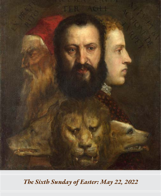

*The Sixth Sunday of Easter: May 22, 2022*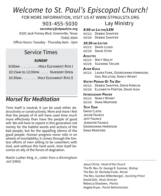# *Welcome to St. Paul's Episcopal Church!*

FOR MORE INFORMATION, VISIT US AT WWW.STPAULSTX.ORG

903-455-5030

 **secretary@stpaulstx.org**

8320 Jack Finney Blvd. Greenville, Texas 75402-3004

Office Hours: Tuesday - Thursday 8am - 2pm

# Service Times

# *SUNDAY*

8:00am . . . . . . HOLY EUCHARIST RITE I 10:15AM to 12:00PM . . . NURSERY OPEN 10:30am . . . . . . Holy Eucharist Rite II

# *Morsel for Meditation*

Time itself is neutral; it can be used either destructively or constructively. More and more I feel that the people of ill will have used time much more effectively than have the people of good will. We will have to repent in this generation not merely for the hateful words and actions of the bad people, but for the appalling silence of the good people. Human progress never rolls in on wheels of inevitability; it comes through the tireless efforts of men willing to be coworkers with God, and without this hard work, time itself becomes an ally of the forces of stagnation.

Martin Luther King Jr., *Letter from a Birmingham Jail* (1963).

# *8:00 am Lector/LEM*

05/22: Debbie Shaffer 05/29: Debbie Shaffer

#### *10:30 am Lector*

05/22: DAVID CLEGG 05/29: DAVID STIPE

#### *Acolytes*

05/22: MATT WOLFF 05/29: Suzanne Taylor

#### *Altar Guild*

05/22: Laura Funk, Georgianna Harrison, Gail Rolston, Nancy Wyant

Lay Ministry

#### *Vestry Person Of The Day*

05/22: Debbie Shaffer, David Kirklin

05/29: ELIZABETH PORTER, DAVID GISH

#### *Intercessory Prayer*

05/22: Nancy Wyant 05/29: Dana Medford

## *Tech Team*

David CLEGG JACOB FAUNCE Jeff Faunce Jennifer Faunce Georgianna Harrison DANA MEDEORD

Jesus Christ, *Head of the Church* The Rt. Rev. Dr. George R. Sumner, *Bishop* The Rev. Dr. Nicholas Funk, *Rector* The Rev. Gordon Miltenberger, *Assisting Priest* David Gish, *Music Director* Rebecca Shasteen, *Pianist* Angela Dryer, *Parish Administrator*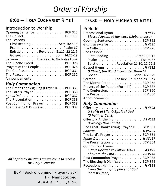# *Order of Worship*

# **8:00 — Holy Eucharist Rite I**

# Introduction to Worship

| Opening Sentence. BCP 323                                      |
|----------------------------------------------------------------|
| The Collect BCP 173                                            |
| The Lessons                                                    |
| First Reading Acts 16:9-15                                     |
| $Psalm \dots \dots \dots \dots \dots$                          |
| Epistle Revelation 21:10, 22-22:5                              |
| Gospel John 14:23-29                                           |
| Sermon The Rev. Dr. Nicholas Funk                              |
| The Nicene Creed BCP 326                                       |
| Prayers of the People BCP 328                                  |
| The Confession. BCP 331                                        |
| The Peace. $\ldots$ . $\ldots$ . $\ldots$ . $\ldots$ . BCP 332 |
| Announcements                                                  |

# *Holy Communion*

| The Great Thanksgiving (Prayer I). BCP 333 |  |
|--------------------------------------------|--|
| The Lord's Prayer BCP 336                  |  |
| Agnus Dei BCP 337                          |  |
| The Presentation BCP 338                   |  |
| Post Communion Prayer BCP 339              |  |
| The Blessing & Dismissal BCP 339           |  |

*All baptized Christians are welcome to receive the Holy Eucharist.* 

BCP = Book of Common Prayer (black) H= Hymnbook (red) A3 = Alleluia III (yellow)

# **10:30 — Holy Eucharist Rite II**

# Prelude

| Processional Hymn $\ldots \ldots \ldots \ldots$ . H#440<br>Blessed Jesus, at thy word (Liebster Jesu) |
|-------------------------------------------------------------------------------------------------------|
| Opening Sentence. BCP 355                                                                             |
| Gloria in excelsis H #280                                                                             |
| The Collect $\ldots \ldots \ldots \ldots \ldots$ . BCP 226                                            |
| The Lessons                                                                                           |
| First Reading $\ldots \ldots \ldots \ldots$ Acts 16:9-15                                              |
| Psalm Psalm 67                                                                                        |
| Epistle $\ldots \ldots$ . Revelation 21:10, 22-22:5                                                   |
| Gospel Hymn $\ldots \ldots \ldots \ldots \ldots$ . H#632                                              |
| O Christ, the Word Incarnate (Munich)                                                                 |
|                                                                                                       |
| Gospel John 14:23-29                                                                                  |
| Sermon The Rev. Dr. Nicholas Funk                                                                     |
| The Nicene Creed BCP 358                                                                              |
| Prayers of the People (Form III) BCP 387                                                              |
| The Confession. BCP 360                                                                               |
| The Peace. $\ldots$ . $\ldots$ . $\ldots$ . $\ldots$ . BCP 360                                        |

# *Holy Communion*

| Offertory H $#505$                                     |
|--------------------------------------------------------|
| O Spirit of Life, O Spirit of God                      |
| (O heiliger Geist)                                     |
| Offertory Anthem 43 #221                               |
| Doxology (Old 100th)                                   |
| The Great Thanksgiving (Prayer A) BCP 361              |
| Sanctus H #S129                                        |
| The Lord's Prayer BCP 364                              |
| Agnus Dei H #S157                                      |
| The Presentation $\dots$ , $\dots$ , $\dots$ , BCP 364 |
| <b>Communion Hymns</b>                                 |
| I Have Decided to Follow Jesus A3 #73                  |
| Shout to the Lord. $\ldots$ . $\ldots$ . 43 #143       |
| Post Communion Prayer BCP 365                          |
| The Blessing & Dismissal BCP 366                       |
| Recessional Hymn. H #398                               |
| I sing the almighty power of God                       |
| (Forest Green)                                         |